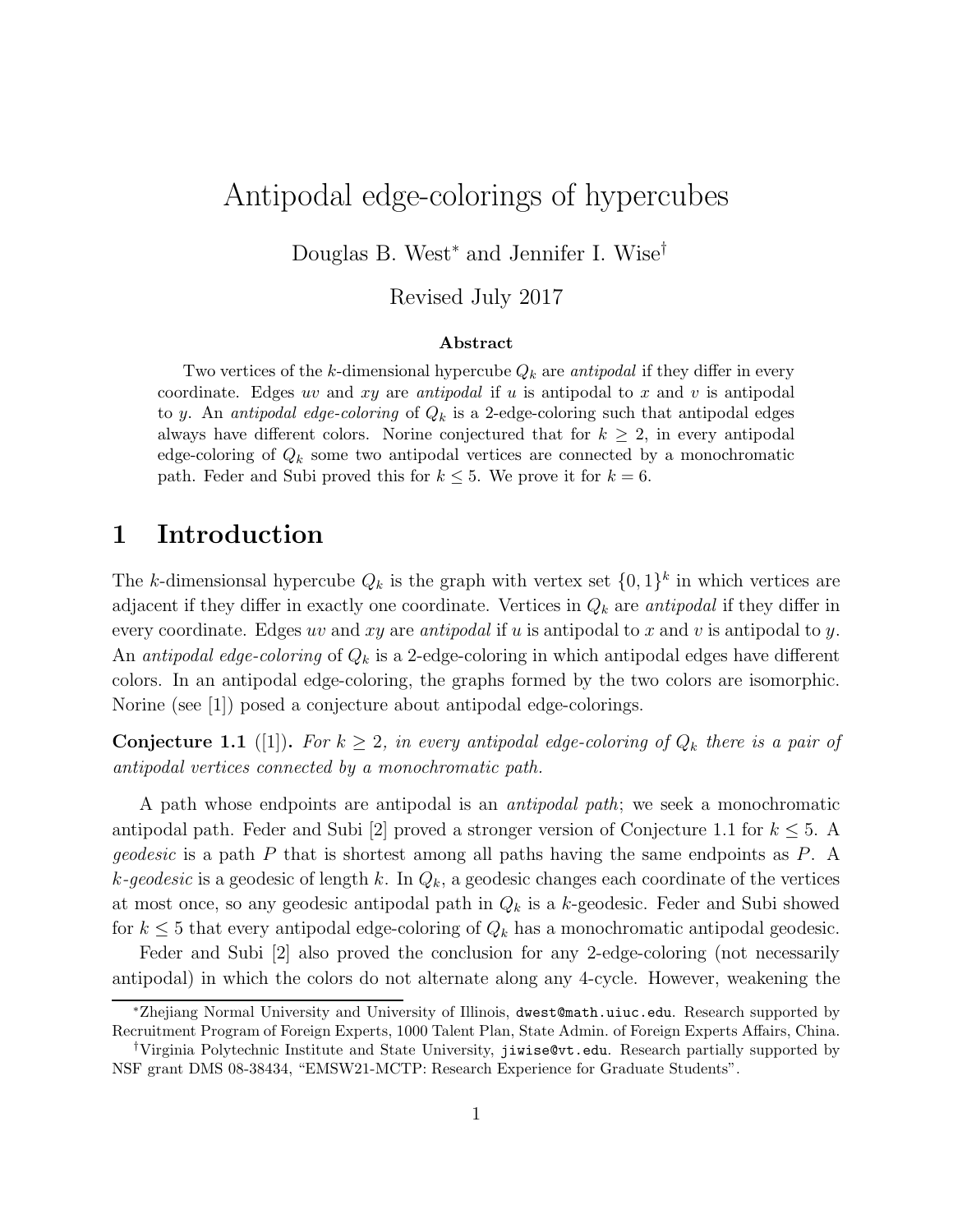# Antipodal edge-colorings of hypercubes

Douglas B. West<sup>∗</sup> and Jennifer I. Wise†

Revised July 2017

#### Abstract

Two vertices of the k-dimensional hypercube  $Q_k$  are antipodal if they differ in every coordinate. Edges uv and xy are antipodal if u is antipodal to x and v is antipodal to y. An antipodal edge-coloring of  $Q_k$  is a 2-edge-coloring such that antipodal edges always have different colors. Norine conjectured that for  $k \geq 2$ , in every antipodal edge-coloring of  $Q_k$  some two antipodal vertices are connected by a monochromatic path. Feder and Subi proved this for  $k \leq 5$ . We prove it for  $k = 6$ .

### 1 Introduction

The k-dimensionsal hypercube  $Q_k$  is the graph with vertex set  $\{0,1\}^k$  in which vertices are adjacent if they differ in exactly one coordinate. Vertices in  $Q_k$  are *antipodal* if they differ in every coordinate. Edges uv and xy are antipodal if u is antipodal to x and v is antipodal to y. An *antipodal edge-coloring* of  $Q_k$  is a 2-edge-coloring in which antipodal edges have different colors. In an antipodal edge-coloring, the graphs formed by the two colors are isomorphic. Norine (see [1]) posed a conjecture about antipodal edge-colorings.

**Conjecture 1.1** ([1]). For  $k \geq 2$ , in every antipodal edge-coloring of  $Q_k$  there is a pair of antipodal vertices connected by a monochromatic path.

A path whose endpoints are antipodal is an antipodal path; we seek a monochromatic antipodal path. Feder and Subi [2] proved a stronger version of Conjecture 1.1 for  $k \leq 5$ . A geodesic is a path P that is shortest among all paths having the same endpoints as P. A k-geodesic is a geodesic of length k. In  $Q_k$ , a geodesic changes each coordinate of the vertices at most once, so any geodesic antipodal path in  $Q_k$  is a k-geodesic. Feder and Subi showed for  $k \leq 5$  that every antipodal edge-coloring of  $Q_k$  has a monochromatic antipodal geodesic.

Feder and Subi [2] also proved the conclusion for any 2-edge-coloring (not necessarily antipodal) in which the colors do not alternate along any 4-cycle. However, weakening the

<sup>∗</sup>Zhejiang Normal University and University of Illinois, dwest@math.uiuc.edu. Research supported by Recruitment Program of Foreign Experts, 1000 Talent Plan, State Admin. of Foreign Experts Affairs, China.

<sup>†</sup>Virginia Polytechnic Institute and State University, jiwise@vt.edu. Research partially supported by NSF grant DMS 08-38434, "EMSW21-MCTP: Research Experience for Graduate Students".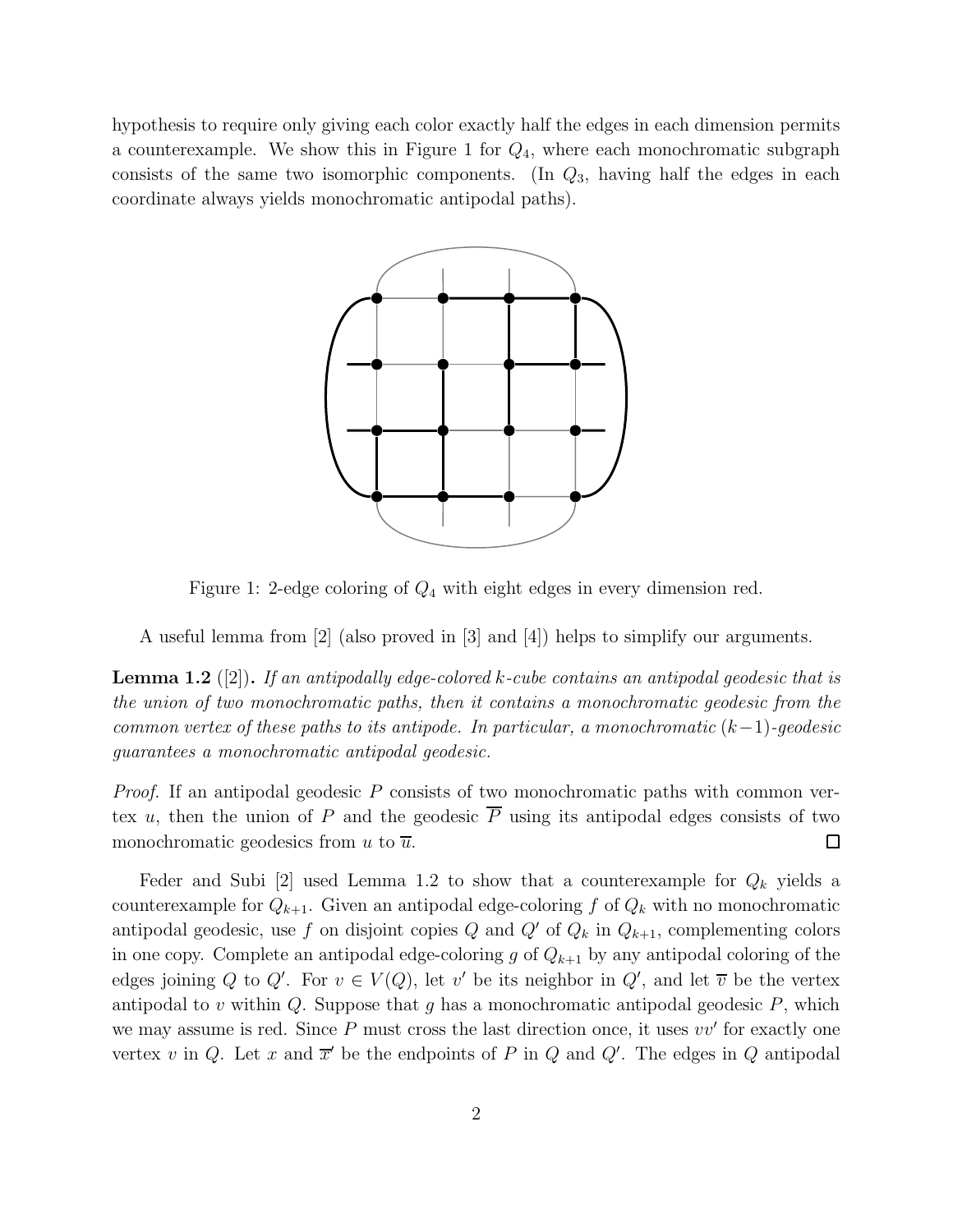hypothesis to require only giving each color exactly half the edges in each dimension permits a counterexample. We show this in Figure 1 for  $Q_4$ , where each monochromatic subgraph consists of the same two isomorphic components. (In  $Q_3$ , having half the edges in each coordinate always yields monochromatic antipodal paths).



Figure 1: 2-edge coloring of  $Q_4$  with eight edges in every dimension red.

A useful lemma from [2] (also proved in [3] and [4]) helps to simplify our arguments.

**Lemma 1.2** ([2]). If an antipodally edge-colored k-cube contains an antipodal geodesic that is the union of two monochromatic paths, then it contains a monochromatic geodesic from the common vertex of these paths to its antipode. In particular, a monochromatic  $(k-1)$ -geodesic guarantees a monochromatic antipodal geodesic.

*Proof.* If an antipodal geodesic  $P$  consists of two monochromatic paths with common vertex u, then the union of P and the geodesic  $\overline{P}$  using its antipodal edges consists of two monochromatic geodesics from u to  $\overline{u}$ .  $\Box$ 

Feder and Subi [2] used Lemma 1.2 to show that a counterexample for  $Q_k$  yields a counterexample for  $Q_{k+1}$ . Given an antipodal edge-coloring f of  $Q_k$  with no monochromatic antipodal geodesic, use f on disjoint copies Q and Q' of  $Q_k$  in  $Q_{k+1}$ , complementing colors in one copy. Complete an antipodal edge-coloring g of  $Q_{k+1}$  by any antipodal coloring of the edges joining Q to Q'. For  $v \in V(Q)$ , let v' be its neighbor in Q', and let  $\overline{v}$  be the vertex antipodal to v within  $Q$ . Suppose that g has a monochromatic antipodal geodesic  $P$ , which we may assume is red. Since  $P$  must cross the last direction once, it uses  $vv'$  for exactly one vertex v in Q. Let x and  $\overline{x}'$  be the endpoints of P in Q and Q'. The edges in Q antipodal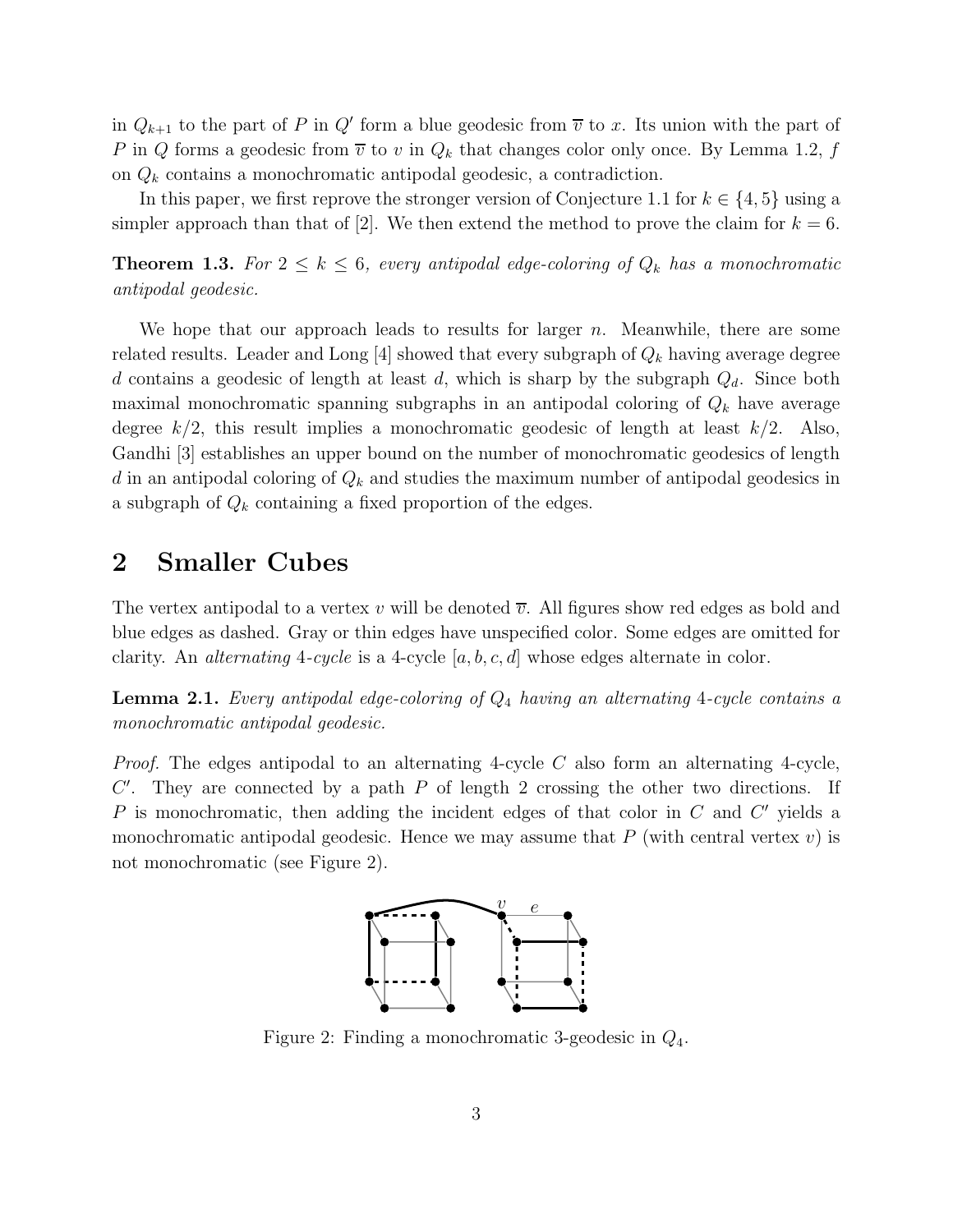in  $Q_{k+1}$  to the part of P in Q' form a blue geodesic from  $\overline{v}$  to x. Its union with the part of P in Q forms a geodesic from  $\overline{v}$  to v in  $Q_k$  that changes color only once. By Lemma 1.2, f on  $Q_k$  contains a monochromatic antipodal geodesic, a contradiction.

In this paper, we first reprove the stronger version of Conjecture 1.1 for  $k \in \{4, 5\}$  using a simpler approach than that of [2]. We then extend the method to prove the claim for  $k = 6$ .

**Theorem 1.3.** For  $2 \leq k \leq 6$ , every antipodal edge-coloring of  $Q_k$  has a monochromatic antipodal geodesic.

We hope that our approach leads to results for larger  $n$ . Meanwhile, there are some related results. Leader and Long [4] showed that every subgraph of  $Q_k$  having average degree d contains a geodesic of length at least d, which is sharp by the subgraph  $Q_d$ . Since both maximal monochromatic spanning subgraphs in an antipodal coloring of  $Q_k$  have average degree  $k/2$ , this result implies a monochromatic geodesic of length at least  $k/2$ . Also, Gandhi [3] establishes an upper bound on the number of monochromatic geodesics of length d in an antipodal coloring of  $Q_k$  and studies the maximum number of antipodal geodesics in a subgraph of  $Q_k$  containing a fixed proportion of the edges.

### 2 Smaller Cubes

The vertex antipodal to a vertex v will be denoted  $\overline{v}$ . All figures show red edges as bold and blue edges as dashed. Gray or thin edges have unspecified color. Some edges are omitted for clarity. An *alternating* 4-cycle is a 4-cycle  $[a, b, c, d]$  whose edges alternate in color.

**Lemma 2.1.** Every antipodal edge-coloring of  $Q_4$  having an alternating 4-cycle contains a monochromatic antipodal geodesic.

*Proof.* The edges antipodal to an alternating 4-cycle C also form an alternating 4-cycle,  $C'$ . They are connected by a path  $P$  of length 2 crossing the other two directions. If P is monochromatic, then adding the incident edges of that color in  $C$  and  $C'$  yields a monochromatic antipodal geodesic. Hence we may assume that  $P$  (with central vertex  $v$ ) is not monochromatic (see Figure 2).



Figure 2: Finding a monochromatic 3-geodesic in  $Q_4$ .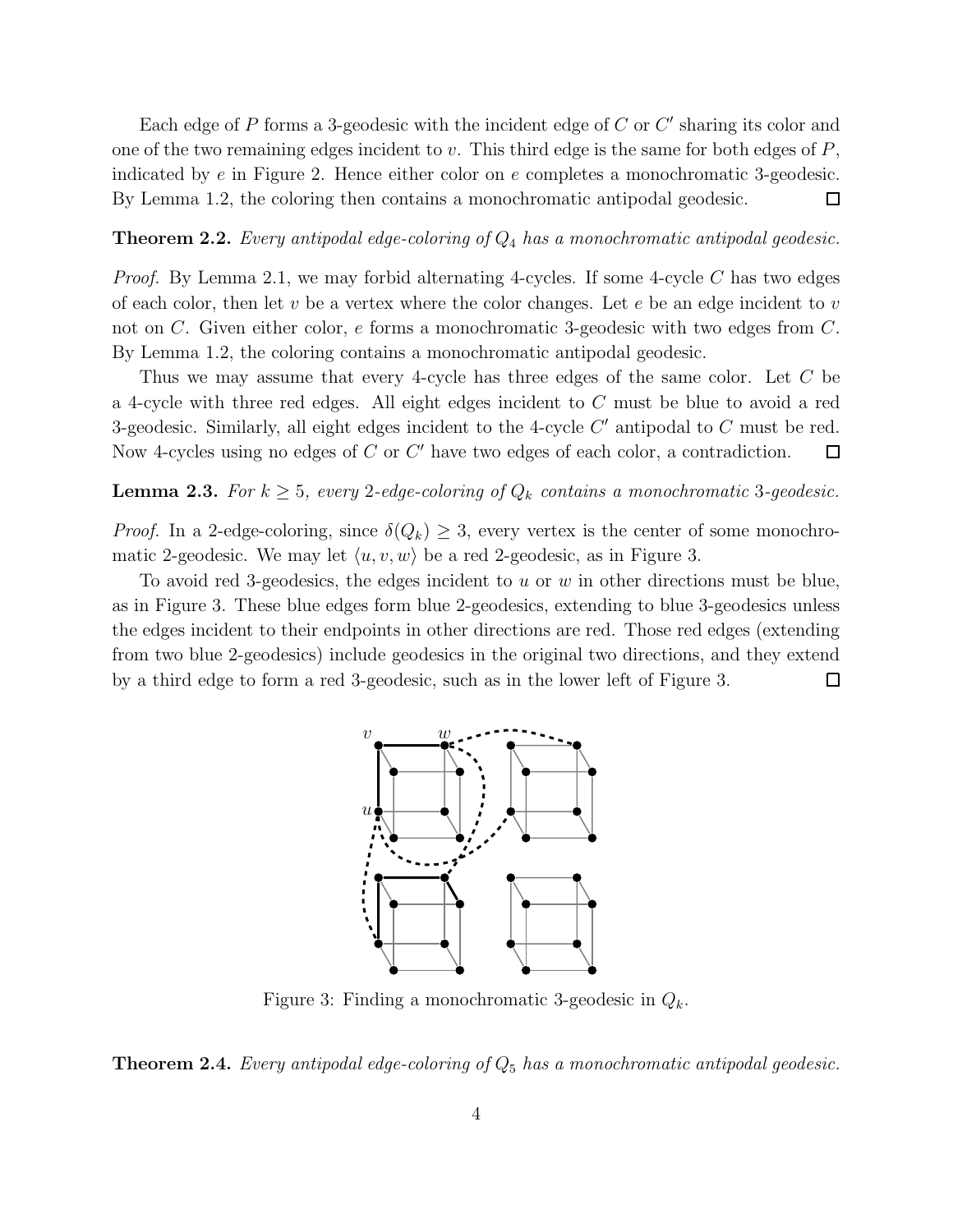Each edge of  $P$  forms a 3-geodesic with the incident edge of  $C$  or  $C'$  sharing its color and one of the two remaining edges incident to v. This third edge is the same for both edges of  $P$ , indicated by e in Figure 2. Hence either color on e completes a monochromatic 3-geodesic. By Lemma 1.2, the coloring then contains a monochromatic antipodal geodesic.  $\Box$ 

#### **Theorem 2.2.** Every antipodal edge-coloring of  $Q_4$  has a monochromatic antipodal geodesic.

*Proof.* By Lemma 2.1, we may forbid alternating 4-cycles. If some 4-cycle C has two edges of each color, then let v be a vertex where the color changes. Let e be an edge incident to v not on C. Given either color, e forms a monochromatic 3-geodesic with two edges from C. By Lemma 1.2, the coloring contains a monochromatic antipodal geodesic.

Thus we may assume that every 4-cycle has three edges of the same color. Let C be a 4-cycle with three red edges. All eight edges incident to C must be blue to avoid a red 3-geodesic. Similarly, all eight edges incident to the 4-cycle  $C'$  antipodal to  $C$  must be red. Now 4-cycles using no edges of  $C$  or  $C'$  have two edges of each color, a contradiction.  $\Box$ 

### **Lemma 2.3.** For  $k \geq 5$ , every 2-edge-coloring of  $Q_k$  contains a monochromatic 3-geodesic.

*Proof.* In a 2-edge-coloring, since  $\delta(Q_k) \geq 3$ , every vertex is the center of some monochromatic 2-geodesic. We may let  $\langle u, v, w \rangle$  be a red 2-geodesic, as in Figure 3.

To avoid red 3-geodesics, the edges incident to  $u$  or  $w$  in other directions must be blue, as in Figure 3. These blue edges form blue 2-geodesics, extending to blue 3-geodesics unless the edges incident to their endpoints in other directions are red. Those red edges (extending from two blue 2-geodesics) include geodesics in the original two directions, and they extend by a third edge to form a red 3-geodesic, such as in the lower left of Figure 3.  $\Box$ 



Figure 3: Finding a monochromatic 3-geodesic in  $Q_k$ .

#### **Theorem 2.4.** Every antipodal edge-coloring of  $Q_5$  has a monochromatic antipodal geodesic.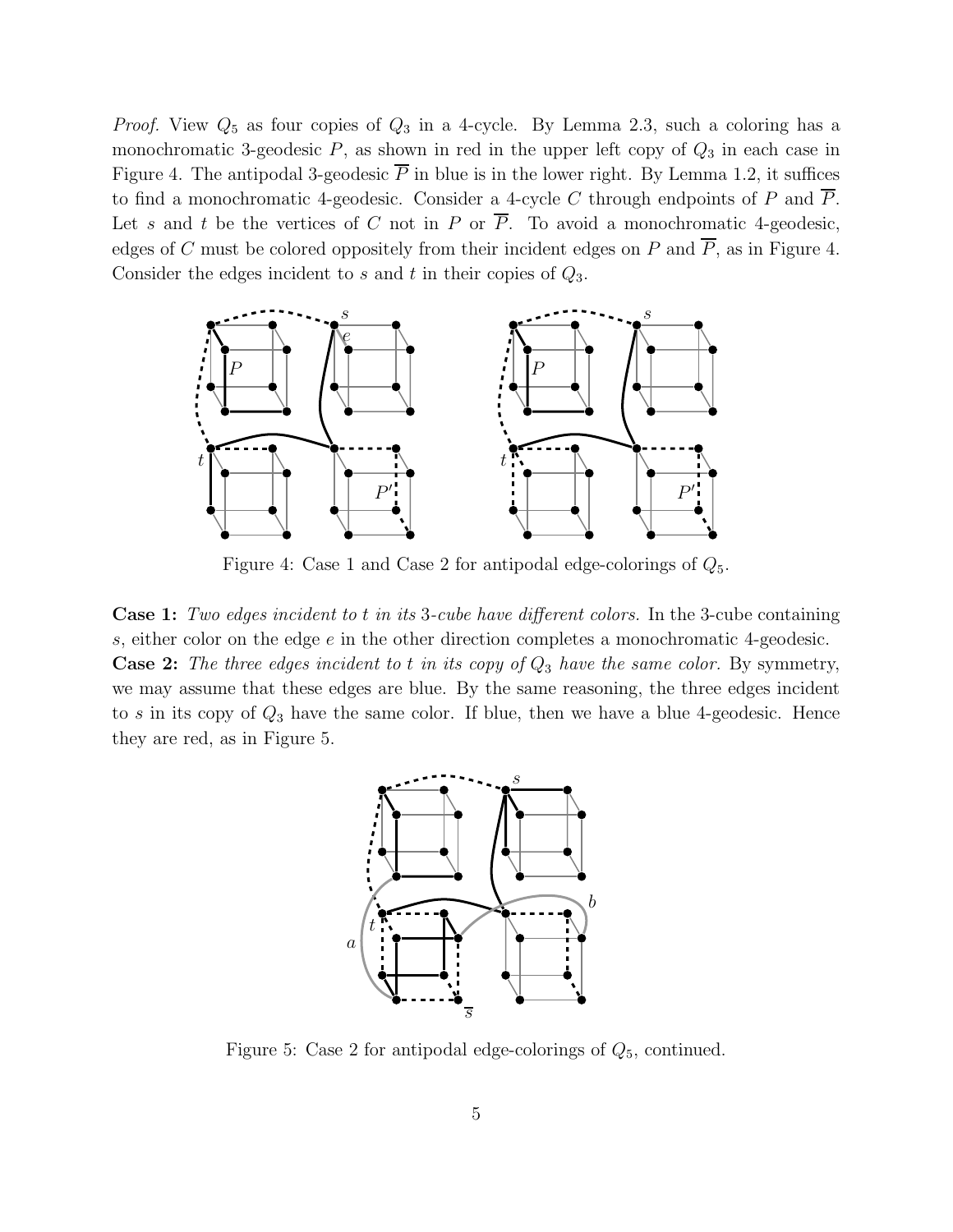*Proof.* View  $Q_5$  as four copies of  $Q_3$  in a 4-cycle. By Lemma 2.3, such a coloring has a monochromatic 3-geodesic  $P$ , as shown in red in the upper left copy of  $Q_3$  in each case in Figure 4. The antipodal 3-geodesic  $\overline{P}$  in blue is in the lower right. By Lemma 1.2, it suffices to find a monochromatic 4-geodesic. Consider a 4-cycle C through endpoints of P and  $\overline{P}$ . Let s and t be the vertices of C not in P or  $\overline{P}$ . To avoid a monochromatic 4-geodesic, edges of C must be colored oppositely from their incident edges on P and  $\overline{P}$ , as in Figure 4. Consider the edges incident to s and t in their copies of  $Q_3$ .



Figure 4: Case 1 and Case 2 for antipodal edge-colorings of  $Q_5$ .

Case 1: Two edges incident to t in its 3-cube have different colors. In the 3-cube containing s, either color on the edge e in the other direction completes a monochromatic 4-geodesic. **Case 2:** The three edges incident to t in its copy of  $Q_3$  have the same color. By symmetry, we may assume that these edges are blue. By the same reasoning, the three edges incident to s in its copy of  $Q_3$  have the same color. If blue, then we have a blue 4-geodesic. Hence they are red, as in Figure 5.



Figure 5: Case 2 for antipodal edge-colorings of  $Q_5$ , continued.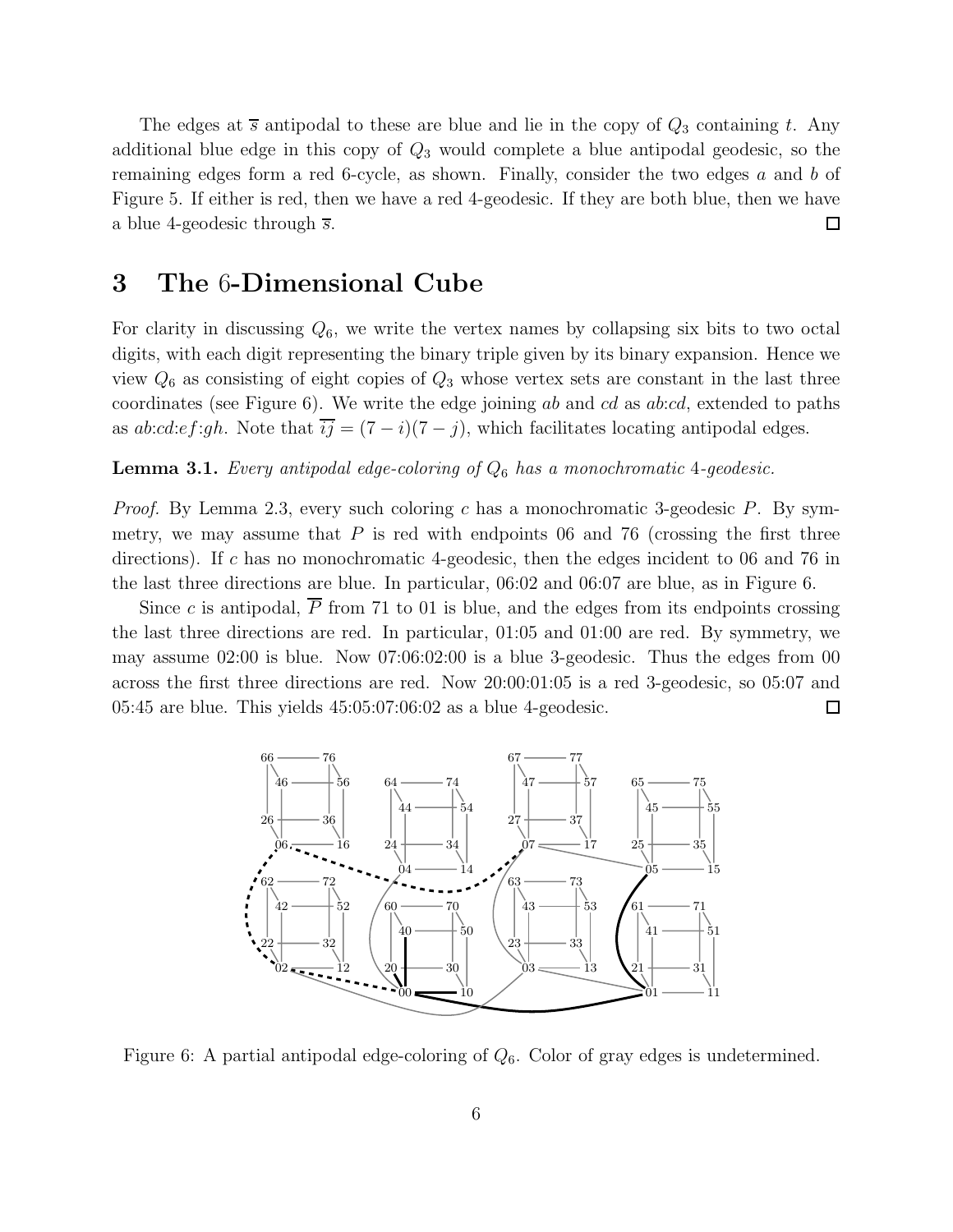The edges at  $\overline{s}$  antipodal to these are blue and lie in the copy of  $Q_3$  containing t. Any additional blue edge in this copy of  $Q_3$  would complete a blue antipodal geodesic, so the remaining edges form a red 6-cycle, as shown. Finally, consider the two edges a and b of Figure 5. If either is red, then we have a red 4-geodesic. If they are both blue, then we have  $\Box$ a blue 4-geodesic through  $\overline{s}$ .

### 3 The 6-Dimensional Cube

For clarity in discussing  $Q_6$ , we write the vertex names by collapsing six bits to two octal digits, with each digit representing the binary triple given by its binary expansion. Hence we view  $Q_6$  as consisting of eight copies of  $Q_3$  whose vertex sets are constant in the last three coordinates (see Figure 6). We write the edge joining ab and cd as ab:cd, extended to paths as  $ab:cd:ef:gh$ . Note that  $\overline{ij} = (7 - i)(7 - j)$ , which facilitates locating antipodal edges.

#### **Lemma 3.1.** Every antipodal edge-coloring of  $Q_6$  has a monochromatic 4-geodesic.

*Proof.* By Lemma 2.3, every such coloring c has a monochromatic 3-geodesic P. By symmetry, we may assume that  $P$  is red with endpoints 06 and 76 (crossing the first three directions). If c has no monochromatic 4-geodesic, then the edges incident to 06 and 76 in the last three directions are blue. In particular, 06:02 and 06:07 are blue, as in Figure 6.

Since c is antipodal,  $\overline{P}$  from 71 to 01 is blue, and the edges from its endpoints crossing the last three directions are red. In particular, 01:05 and 01:00 are red. By symmetry, we may assume 02:00 is blue. Now 07:06:02:00 is a blue 3-geodesic. Thus the edges from 00 across the first three directions are red. Now 20:00:01:05 is a red 3-geodesic, so 05:07 and 05:45 are blue. This yields 45:05:07:06:02 as a blue 4-geodesic.  $\Box$ 



Figure 6: A partial antipodal edge-coloring of  $Q_6$ . Color of gray edges is undetermined.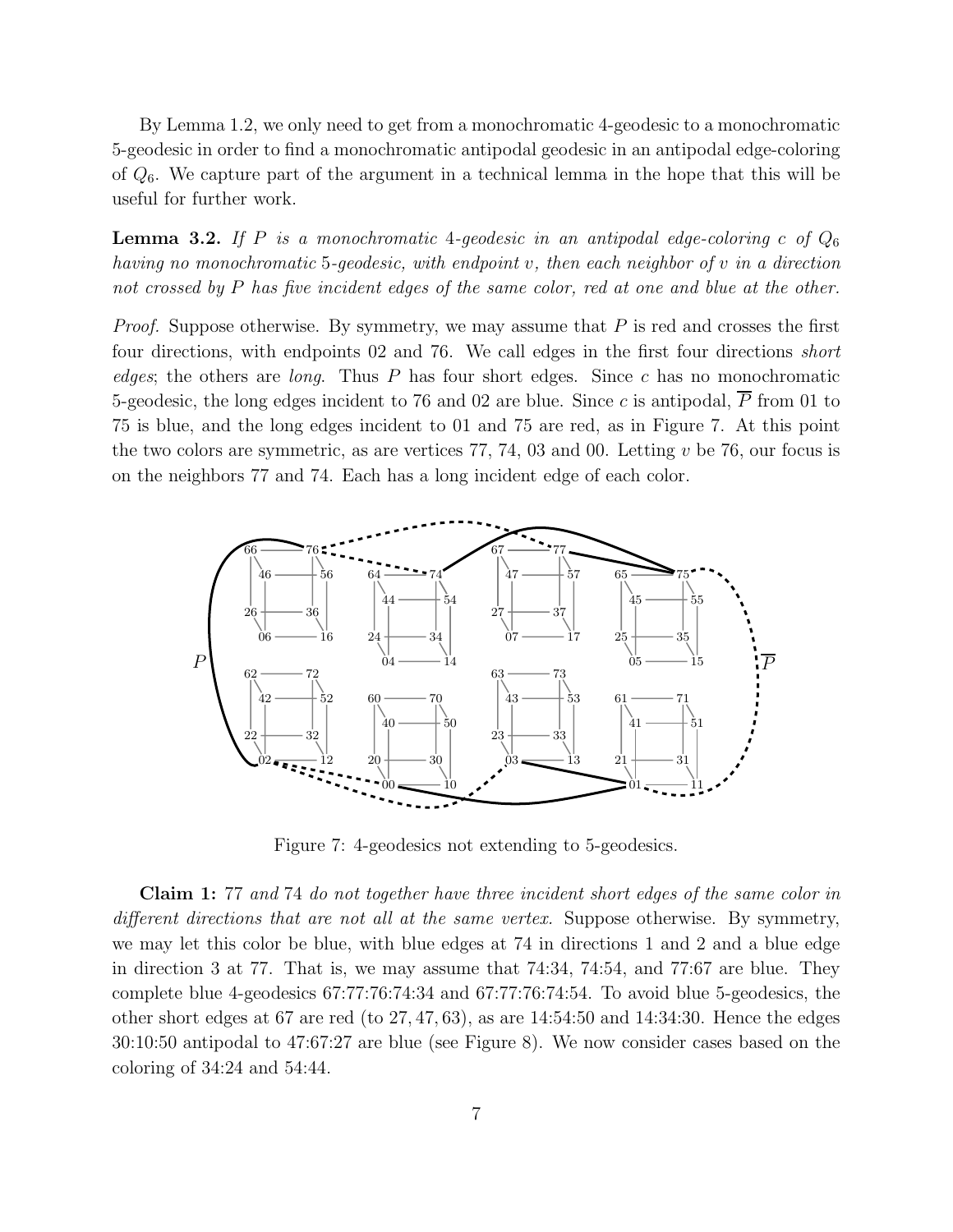By Lemma 1.2, we only need to get from a monochromatic 4-geodesic to a monochromatic 5-geodesic in order to find a monochromatic antipodal geodesic in an antipodal edge-coloring of  $Q_6$ . We capture part of the argument in a technical lemma in the hope that this will be useful for further work.

**Lemma 3.2.** If P is a monochromatic 4-geodesic in an antipodal edge-coloring c of  $Q_6$ having no monochromatic 5-geodesic, with endpoint v, then each neighbor of v in a direction not crossed by P has five incident edges of the same color, red at one and blue at the other.

*Proof.* Suppose otherwise. By symmetry, we may assume that  $P$  is red and crosses the first four directions, with endpoints 02 and 76. We call edges in the first four directions short edges; the others are *long*. Thus  $P$  has four short edges. Since  $c$  has no monochromatic 5-geodesic, the long edges incident to 76 and 02 are blue. Since c is antipodal,  $\overline{P}$  from 01 to 75 is blue, and the long edges incident to 01 and 75 are red, as in Figure 7. At this point the two colors are symmetric, as are vertices  $77, 74, 03$  and 00. Letting  $v$  be 76, our focus is on the neighbors 77 and 74. Each has a long incident edge of each color.



Figure 7: 4-geodesics not extending to 5-geodesics.

Claim 1: 77 and 74 do not together have three incident short edges of the same color in different directions that are not all at the same vertex. Suppose otherwise. By symmetry, we may let this color be blue, with blue edges at 74 in directions 1 and 2 and a blue edge in direction 3 at 77. That is, we may assume that 74:34, 74:54, and 77:67 are blue. They complete blue 4-geodesics 67:77:76:74:34 and 67:77:76:74:54. To avoid blue 5-geodesics, the other short edges at 67 are red (to 27, 47, 63), as are 14:54:50 and 14:34:30. Hence the edges 30:10:50 antipodal to 47:67:27 are blue (see Figure 8). We now consider cases based on the coloring of 34:24 and 54:44.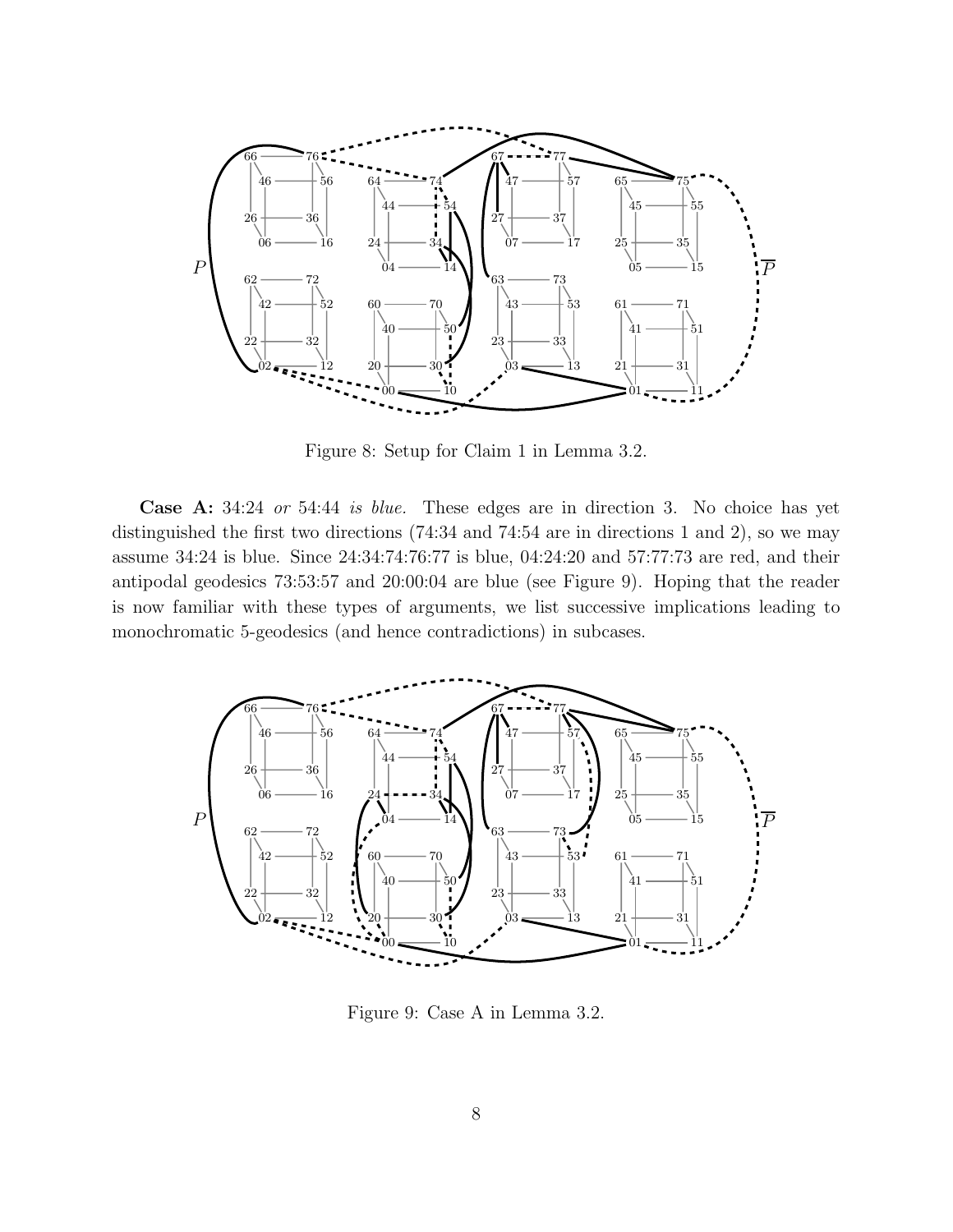

Figure 8: Setup for Claim 1 in Lemma 3.2.

Case A: 34:24 or 54:44 is blue. These edges are in direction 3. No choice has yet distinguished the first two directions  $(74:34 \text{ and } 74:54 \text{ are in directions } 1 \text{ and } 2)$ , so we may assume 34:24 is blue. Since 24:34:74:76:77 is blue, 04:24:20 and 57:77:73 are red, and their antipodal geodesics 73:53:57 and 20:00:04 are blue (see Figure 9). Hoping that the reader is now familiar with these types of arguments, we list successive implications leading to monochromatic 5-geodesics (and hence contradictions) in subcases.



Figure 9: Case A in Lemma 3.2.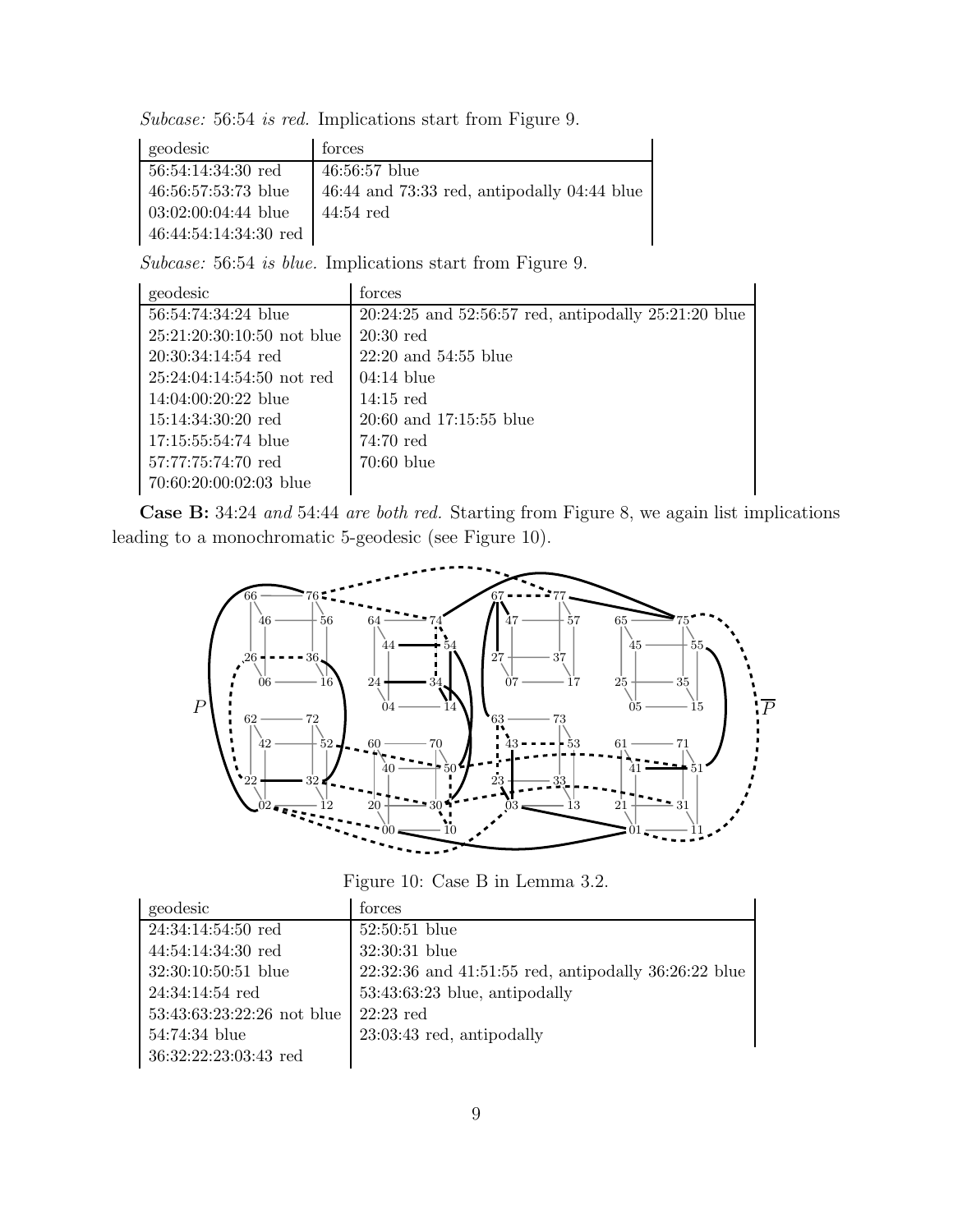Subcase: 56:54 is red. Implications start from Figure 9.

| geodesic              | forces                                          |
|-----------------------|-------------------------------------------------|
| $56:54:14:34:30$ red  | $46:56:57$ blue                                 |
| 46:56:57:53:73 blue   | $46:44$ and $73:33$ red, antipodally 04:44 blue |
| $03:02:00:04:44$ blue | $44:54$ red                                     |
| 46:44:54:14:34:30 red |                                                 |

Subcase: 56:54 is blue. Implications start from Figure 9.

| geodesic                     | forces                                                     |
|------------------------------|------------------------------------------------------------|
| 56:54:74:34:24 blue          | $20:24:25$ and $52:56:57$ red, antipodally $25:21:20$ blue |
| $25:21:20:30:10:50$ not blue | $20:30$ red                                                |
| $20:30:34:14:54$ red         | $22:20$ and $54:55$ blue                                   |
| $25:24:04:14:54:50$ not red  | $04:14$ blue                                               |
| 14:04:00:20:22 blue          | $14:15$ red                                                |
| $15:14:34:30:20$ red         | 20:60 and 17:15:55 blue                                    |
| 17:15:55:54:74 blue          | $74:70$ red                                                |
| 57:77:75:74:70 red           | $70:60$ blue                                               |
| 70:60:20:00:02:03 blue       |                                                            |

Case B: 34:24 and 54:44 are both red. Starting from Figure 8, we again list implications leading to a monochromatic 5-geodesic (see Figure 10).



Figure 10: Case B in Lemma 3.2.

| geodesic                   | torces                                                     |
|----------------------------|------------------------------------------------------------|
| $24:34:14:54:50$ red       | $52:50:51$ blue                                            |
| $44:54:14:34:30$ red       | 32:30:31 blue                                              |
| $32:30:10:50:51$ blue      | $22:32:36$ and $41:51:55$ red, antipodally $36:26:22$ blue |
| $24:34:14:54$ red          | $53:43:63:23$ blue, antipodally                            |
| 53:43:63:23:22:26 not blue | $22:23$ red                                                |
| 54:74:34 blue              | $23:03:43$ red, antipodally                                |
| 36:32:22:23:03:43 red      |                                                            |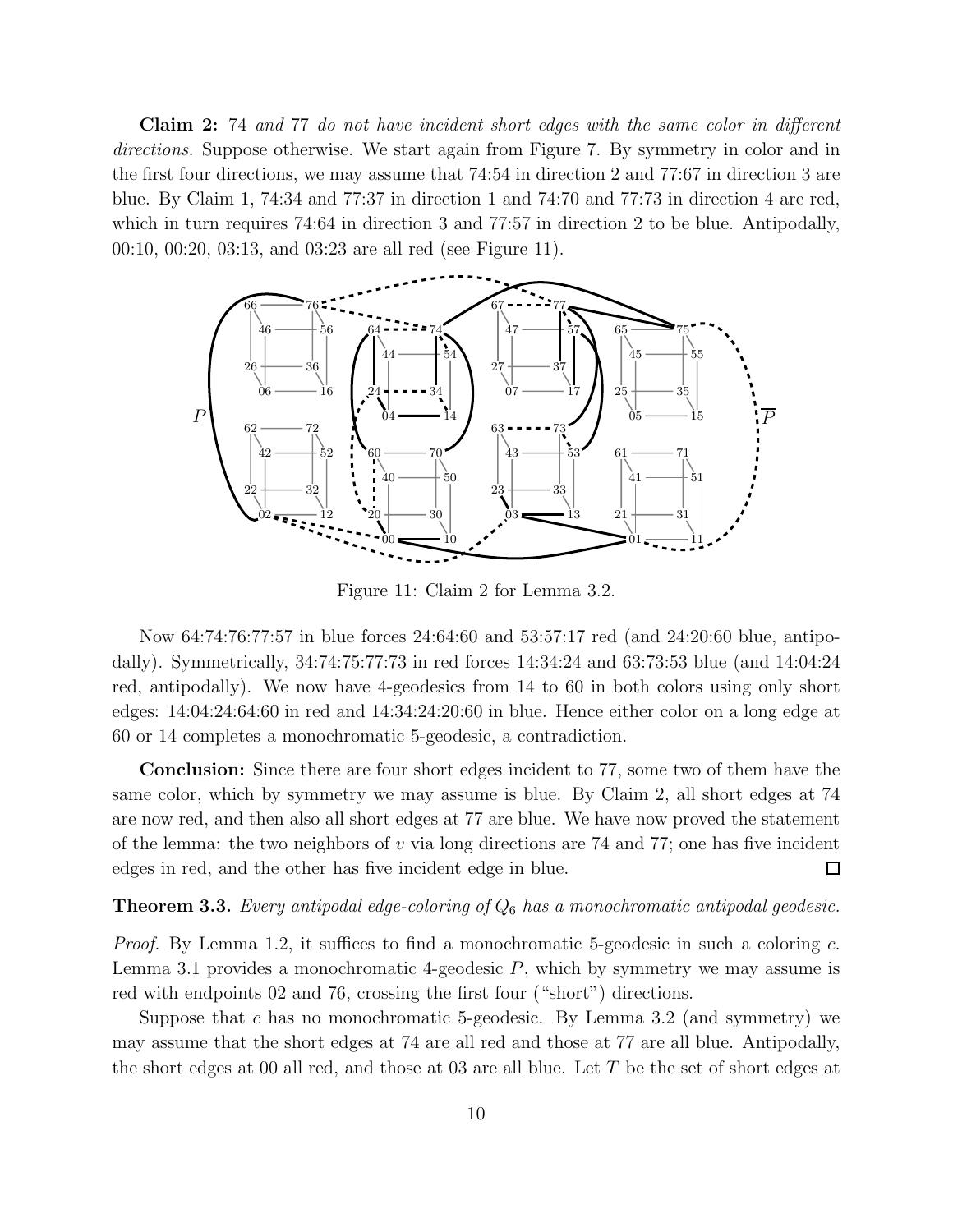Claim 2: 74 and 77 do not have incident short edges with the same color in different directions. Suppose otherwise. We start again from Figure 7. By symmetry in color and in the first four directions, we may assume that 74:54 in direction 2 and 77:67 in direction 3 are blue. By Claim 1, 74:34 and 77:37 in direction 1 and 74:70 and 77:73 in direction 4 are red, which in turn requires 74:64 in direction 3 and 77:57 in direction 2 to be blue. Antipodally, 00:10, 00:20, 03:13, and 03:23 are all red (see Figure 11).



Figure 11: Claim 2 for Lemma 3.2.

Now 64:74:76:77:57 in blue forces 24:64:60 and 53:57:17 red (and 24:20:60 blue, antipodally). Symmetrically, 34:74:75:77:73 in red forces 14:34:24 and 63:73:53 blue (and 14:04:24 red, antipodally). We now have 4-geodesics from 14 to 60 in both colors using only short edges: 14:04:24:64:60 in red and 14:34:24:20:60 in blue. Hence either color on a long edge at 60 or 14 completes a monochromatic 5-geodesic, a contradiction.

Conclusion: Since there are four short edges incident to 77, some two of them have the same color, which by symmetry we may assume is blue. By Claim 2, all short edges at 74 are now red, and then also all short edges at 77 are blue. We have now proved the statement of the lemma: the two neighbors of  $v$  via long directions are 74 and 77; one has five incident edges in red, and the other has five incident edge in blue.  $\Box$ 

**Theorem 3.3.** Every antipodal edge-coloring of  $Q_6$  has a monochromatic antipodal geodesic.

Proof. By Lemma 1.2, it suffices to find a monochromatic 5-geodesic in such a coloring c. Lemma 3.1 provides a monochromatic 4-geodesic  $P$ , which by symmetry we may assume is red with endpoints 02 and 76, crossing the first four ("short") directions.

Suppose that c has no monochromatic 5-geodesic. By Lemma 3.2 (and symmetry) we may assume that the short edges at 74 are all red and those at 77 are all blue. Antipodally, the short edges at 00 all red, and those at 03 are all blue. Let T be the set of short edges at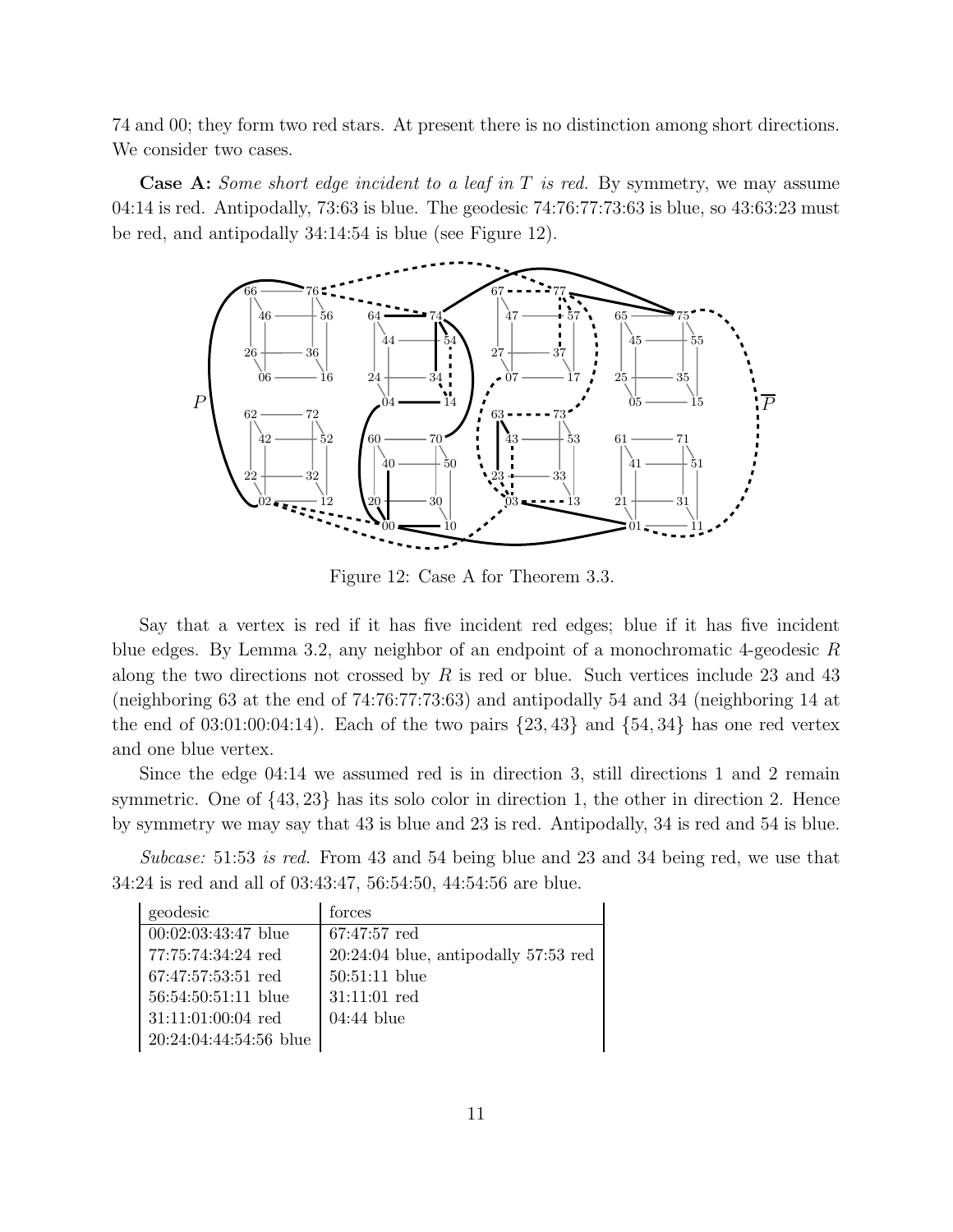74 and 00; they form two red stars. At present there is no distinction among short directions. We consider two cases.

**Case A:** Some short edge incident to a leaf in  $T$  is red. By symmetry, we may assume 04:14 is red. Antipodally, 73:63 is blue. The geodesic 74:76:77:73:63 is blue, so 43:63:23 must be red, and antipodally 34:14:54 is blue (see Figure 12).



Figure 12: Case A for Theorem 3.3.

Say that a vertex is red if it has five incident red edges; blue if it has five incident blue edges. By Lemma 3.2, any neighbor of an endpoint of a monochromatic 4-geodesic R along the two directions not crossed by  $R$  is red or blue. Such vertices include 23 and 43 (neighboring 63 at the end of 74:76:77:73:63) and antipodally 54 and 34 (neighboring 14 at the end of  $03:01:00:04:14$ ). Each of the two pairs  $\{23, 43\}$  and  $\{54, 34\}$  has one red vertex and one blue vertex.

Since the edge 04:14 we assumed red is in direction 3, still directions 1 and 2 remain symmetric. One of {43, 23} has its solo color in direction 1, the other in direction 2. Hence by symmetry we may say that 43 is blue and 23 is red. Antipodally, 34 is red and 54 is blue.

Subcase: 51:53 is red. From 43 and 54 being blue and 23 and 34 being red, we use that 34:24 is red and all of 03:43:47, 56:54:50, 44:54:56 are blue.

| geodesic               | forces                                 |
|------------------------|----------------------------------------|
| $00:02:03:43:47$ blue  | $67:47:57$ red                         |
| 77:75:74:34:24 red     | $20:24:04$ blue, antipodally 57:53 red |
| 67:47:57:53:51 red     | $50:51:11$ blue                        |
| $56:54:50:51:11$ blue  | $31:11:01$ red                         |
| $31:11:01:00:04$ red   | $04:44$ blue                           |
| 20:24:04:44:54:56 blue |                                        |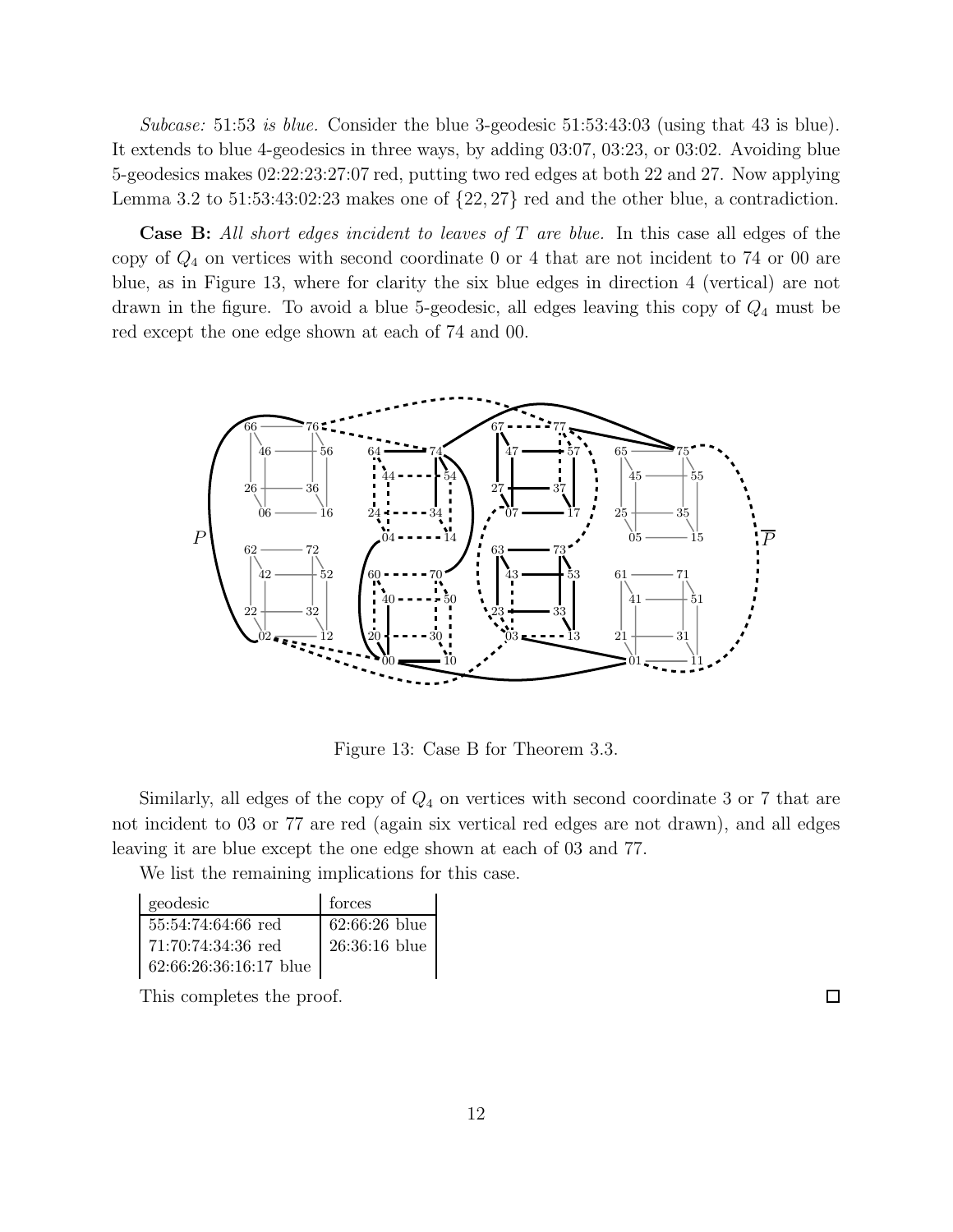Subcase: 51:53 is blue. Consider the blue 3-geodesic  $51:53:43:03$  (using that 43 is blue). It extends to blue 4-geodesics in three ways, by adding 03:07, 03:23, or 03:02. Avoiding blue 5-geodesics makes 02:22:23:27:07 red, putting two red edges at both 22 and 27. Now applying Lemma 3.2 to  $51:53:43:02:23$  makes one of  $\{22, 27\}$  red and the other blue, a contradiction.

**Case B:** All short edges incident to leaves of T are blue. In this case all edges of the copy of  $Q_4$  on vertices with second coordinate 0 or 4 that are not incident to 74 or 00 are blue, as in Figure 13, where for clarity the six blue edges in direction 4 (vertical) are not drawn in the figure. To avoid a blue 5-geodesic, all edges leaving this copy of  $Q_4$  must be red except the one edge shown at each of 74 and 00.



Figure 13: Case B for Theorem 3.3.

Similarly, all edges of the copy of  $Q_4$  on vertices with second coordinate 3 or 7 that are not incident to 03 or 77 are red (again six vertical red edges are not drawn), and all edges leaving it are blue except the one edge shown at each of 03 and 77.

We list the remaining implications for this case.

| geodesic               | forces             |
|------------------------|--------------------|
| 55:54:74:64:66 red     | $\,$ 62:66:26 blue |
| $71:70:74:34:36$ red   | 26:36:16 blue      |
| 62:66:26:36:16:17 blue |                    |

This completes the proof.

 $\Box$